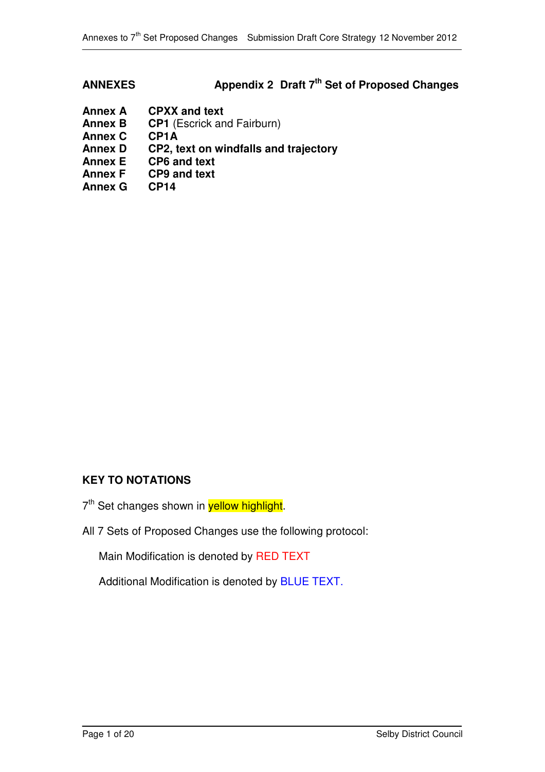# **ANNEXES Appendix 2 Draft 7 th Set of Proposed Changes**

- **Annex A CPXX** and text<br>**Annex B CP1** (Escrick and
- **CP1** (Escrick and Fairburn)
- **Annex C CP1A**
- **Annex D CP2, text on windfalls and trajectory**
- **Annex E CP6 and text**
- **Annex F CP9 and text**
- **Annex G CP14**

# **KEY TO NOTATIONS**

- 7<sup>th</sup> Set changes shown in **yellow highlight**.
- All 7 Sets of Proposed Changes use the following protocol:

Main Modification is denoted by RED TEXT

Additional Modification is denoted by BLUE TEXT.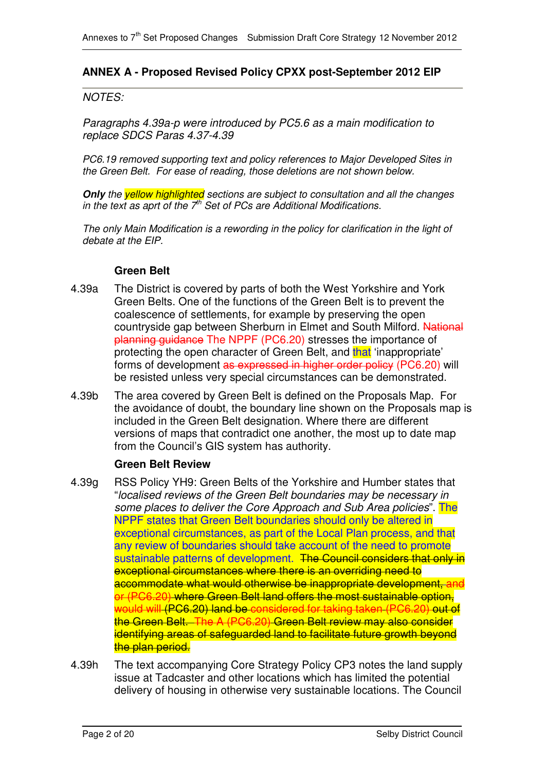## **ANNEX A - Proposed Revised Policy CPXX post-September 2012 EIP**

#### *NOTES:*

*Paragraphs 4.39a-p were introduced by PC5.6 as a main modification to replace SDCS Paras 4.37-4.39*

*PC6.19 removed supporting text and policy references to Major Developed Sites in the Green Belt. For ease of reading, those deletions are not shown below.*

*Only the yellow highlighted sections are subject to consultation and all the changes in the text as aprt of the 7 th Set of PCs are Additional Modifications.*

*The only Main Modification is a rewording in the policy for clarification in the light of debate at the EIP.*

#### **Green Belt**

- 4.39a The District is covered by parts of both the West Yorkshire and York Green Belts. One of the functions of the Green Belt is to prevent the coalescence of settlements, for example by preserving the open countryside gap between Sherburn in Elmet and South Milford. National planning guidance The NPPF (PC6.20) stresses the importance of protecting the open character of Green Belt, and that 'inappropriate' forms of development as expressed in higher order policy (PC6.20) will be resisted unless very special circumstances can be demonstrated.
- 4.39b The area covered by Green Belt is defined on the Proposals Map. For the avoidance of doubt, the boundary line shown on the Proposals map is included in the Green Belt designation. Where there are different versions of maps that contradict one another, the most up to date map from the Council's GIS system has authority.

## **Green Belt Review**

- 4.39g RSS Policy YH9: Green Belts of the Yorkshire and Humber states that "*localised reviews of the Green Belt boundaries may be necessary in some places to deliver the Core Approach and Sub Area policies*". The NPPF states that Green Belt boundaries should only be altered in exceptional circumstances, as part of the Local Plan process, and that any review of boundaries should take account of the need to promote sustainable patterns of development. The Council considers that only in exceptional circumstances where there is an overriding need to accommodate what would otherwise be inappropriate development, and or (PC6.20) where Green Belt land offers the most sustainable option, would will (PC6.20) land be considered for taking taken (PC6.20) out of the Green Belt. The A (PC6.20) Green Belt review may also consider identifying areas of safeguarded land to facilitate future growth beyond the plan period.
- 4.39h The text accompanying Core Strategy Policy CP3 notes the land supply issue at Tadcaster and other locations which has limited the potential delivery of housing in otherwise very sustainable locations. The Council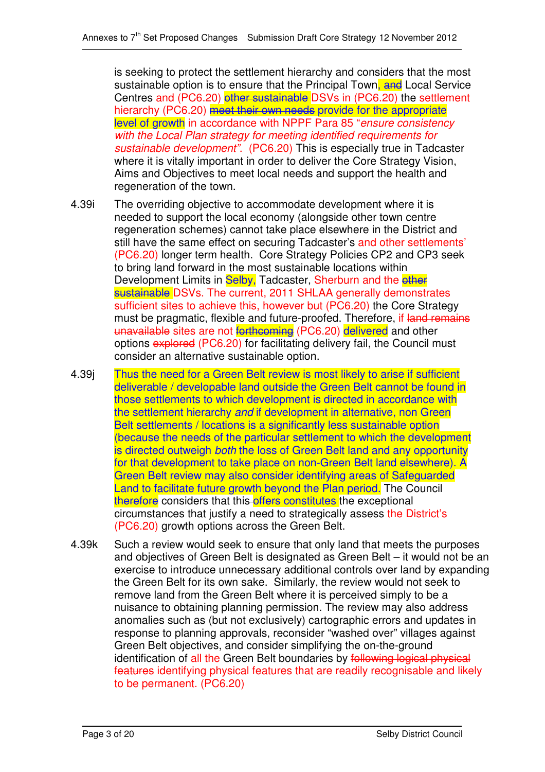is seeking to protect the settlement hierarchy and considers that the most sustainable option is to ensure that the Principal Town, and Local Service Centres and (PC6.20) other sustainable DSVs in (PC6.20) the settlement hierarchy (PC6.20) meet their own needs provide for the appropriate level of growth in accordance with NPPF Para 85 "*ensure consistency with the Local Plan strategy for meeting identified requirements for sustainable development"*. (PC6.20) This is especially true in Tadcaster where it is vitally important in order to deliver the Core Strategy Vision, Aims and Objectives to meet local needs and support the health and regeneration of the town.

- 4.39i The overriding objective to accommodate development where it is needed to support the local economy (alongside other town centre regeneration schemes) cannot take place elsewhere in the District and still have the same effect on securing Tadcaster's and other settlements' (PC6.20) longer term health. Core Strategy Policies CP2 and CP3 seek to bring land forward in the most sustainable locations within Development Limits in Selby, Tadcaster, Sherburn and the other sustainable DSVs. The current, 2011 SHLAA generally demonstrates sufficient sites to achieve this, however but (PC6.20) the Core Strategy must be pragmatic, flexible and future-proofed. Therefore, if land remains unavailable sites are not forthcoming (PC6.20) delivered and other options explored (PC6.20) for facilitating delivery fail, the Council must consider an alternative sustainable option.
- 4.39j Thus the need for a Green Belt review is most likely to arise if sufficient deliverable / developable land outside the Green Belt cannot be found in those settlements to which development is directed in accordance with the settlement hierarchy *and* if development in alternative, non Green Belt settlements / locations is a significantly less sustainable option (because the needs of the particular settlement to which the development is directed outweigh *both* the loss of Green Belt land and any opportunity for that development to take place on non-Green Belt land elsewhere). A Green Belt review may also consider identifying areas of Safeguarded Land to facilitate future growth beyond the Plan period. The Council therefore considers that this offers constitutes the exceptional circumstances that justify a need to strategically assess the District's (PC6.20) growth options across the Green Belt.
- 4.39k Such a review would seek to ensure that only land that meets the purposes and objectives of Green Belt is designated as Green Belt – it would not be an exercise to introduce unnecessary additional controls over land by expanding the Green Belt for its own sake. Similarly, the review would not seek to remove land from the Green Belt where it is perceived simply to be a nuisance to obtaining planning permission. The review may also address anomalies such as (but not exclusively) cartographic errors and updates in response to planning approvals, reconsider "washed over" villages against Green Belt objectives, and consider simplifying the on-the-ground identification of all the Green Belt boundaries by following logical physical features identifying physical features that are readily recognisable and likely to be permanent. (PC6.20)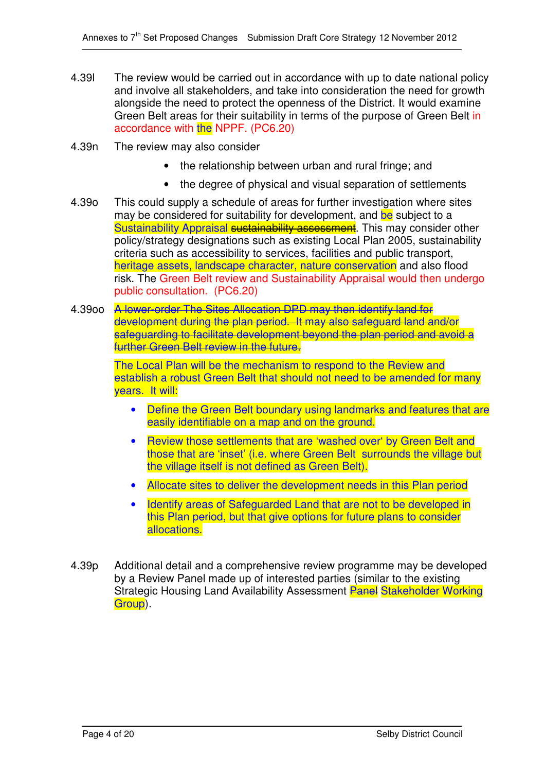- 4.39l The review would be carried out in accordance with up to date national policy and involve all stakeholders, and take into consideration the need for growth alongside the need to protect the openness of the District. It would examine Green Belt areas for their suitability in terms of the purpose of Green Belt in accordance with the NPPF. (PC6.20)
- 4.39n The review may also consider
	- the relationship between urban and rural fringe; and
	- the degree of physical and visual separation of settlements
- 4.39o This could supply a schedule of areas for further investigation where sites may be considered for suitability for development, and be subject to a Sustainability Appraisal sustainability assessment. This may consider other policy/strategy designations such as existing Local Plan 2005, sustainability criteria such as accessibility to services, facilities and public transport, heritage assets, landscape character, nature conservation and also flood risk. The Green Belt review and Sustainability Appraisal would then undergo public consultation. (PC6.20)
- 4.39oo A lower-order The Sites Allocation DPD may then identify land for development during the plan period. It may also safeguard land and/or safeguarding to facilitate development beyond the plan period and avoid a further Green Belt review in the future.

The Local Plan will be the mechanism to respond to the Review and establish a robust Green Belt that should not need to be amended for many years. It will:

- Define the Green Belt boundary using landmarks and features that are easily identifiable on a map and on the ground.
- Review those settlements that are 'washed over' by Green Belt and those that are 'inset' (i.e. where Green Belt surrounds the village but the village itself is not defined as Green Belt).
- Allocate sites to deliver the development needs in this Plan period
- Identify areas of Safeguarded Land that are not to be developed in this Plan period, but that give options for future plans to consider allocations.
- 4.39p Additional detail and a comprehensive review programme may be developed by a Review Panel made up of interested parties (similar to the existing Strategic Housing Land Availability Assessment Panel Stakeholder Working Group).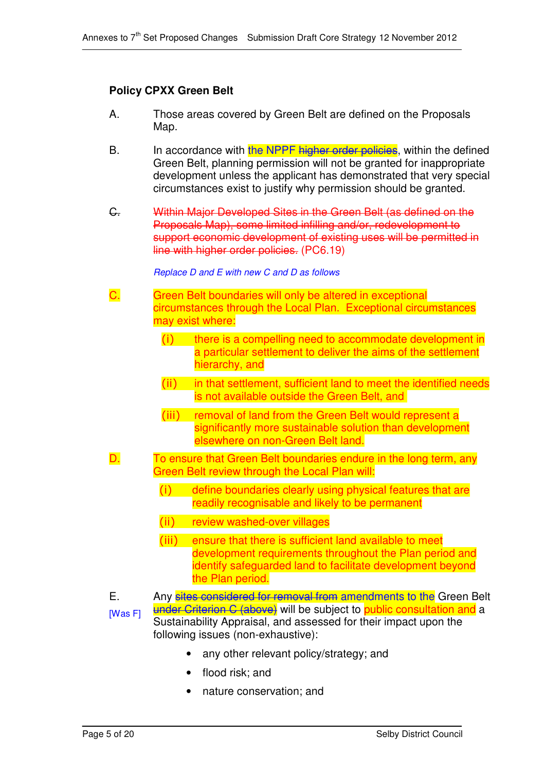# **Policy CPXX Green Belt**

- A. Those areas covered by Green Belt are defined on the Proposals Map.
- B. In accordance with the NPPF higher order policies, within the defined Green Belt, planning permission will not be granted for inappropriate development unless the applicant has demonstrated that very special circumstances exist to justify why permission should be granted.
- C. Within Major Developed Sites in the Green Belt (as defined on the Proposals Map), some limited infilling and/or, redevelopment to support economic development of existing uses will be permitted in line with higher order policies. (PC6.19)

#### *Replace D and E with new C and D as follows*

- C. Green Belt boundaries will only be altered in exceptional circumstances through the Local Plan. Exceptional circumstances may exist where:
	- $(i)$  there is a compelling need to accommodate development in a particular settlement to deliver the aims of the settlement hierarchy, and
	- (ii) in that settlement, sufficient land to meet the identified needs is not available outside the Green Belt, and
	- (iii) removal of land from the Green Belt would represent a significantly more sustainable solution than development elsewhere on non-Green Belt land.
- D. To ensure that Green Belt boundaries endure in the long term, any Green Belt review through the Local Plan will:
	- $(i)$  define boundaries clearly using physical features that are readily recognisable and likely to be permanent
	- (ii) review washed-over villages
	- (iii) ensure that there is sufficient land available to meet development requirements throughout the Plan period and identify safeguarded land to facilitate development beyond the Plan period.
- E. [Was F] Any sites considered for removal from amendments to the Green Belt under Criterion C (above) will be subject to public consultation and a Sustainability Appraisal, and assessed for their impact upon the following issues (non-exhaustive):
	- any other relevant policy/strategy; and
	- flood risk; and
	- nature conservation; and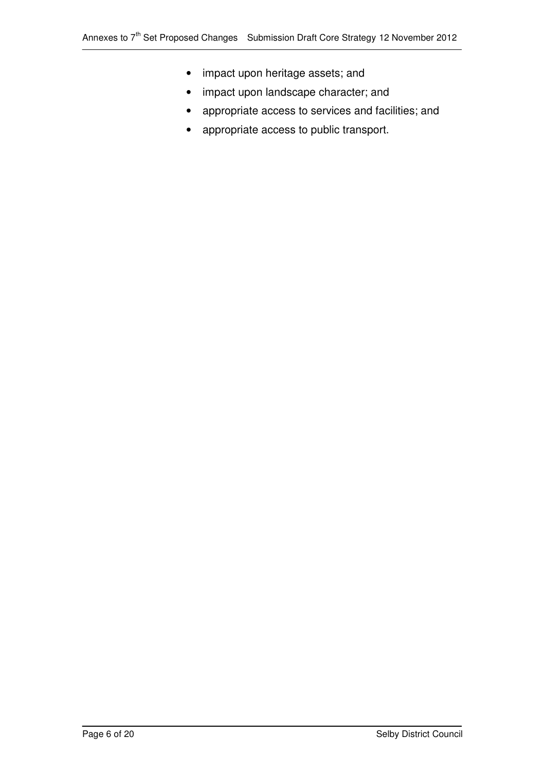- impact upon heritage assets; and
- impact upon landscape character; and
- appropriate access to services and facilities; and
- appropriate access to public transport.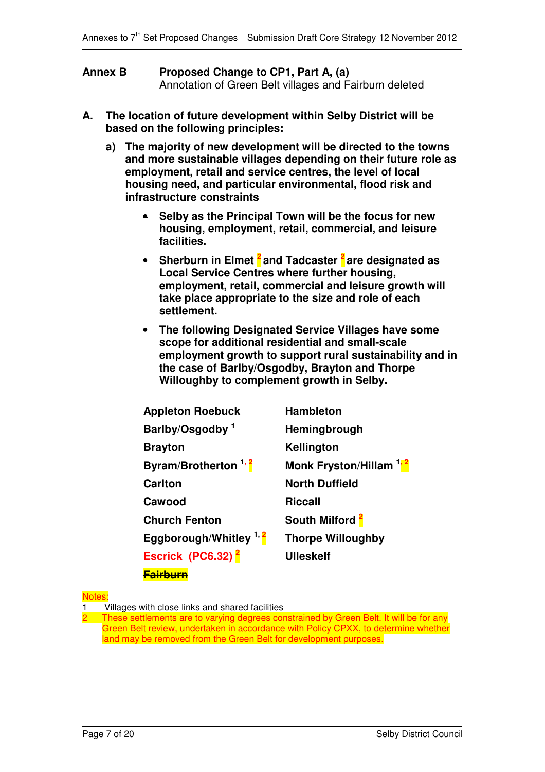| <b>Annex B</b> | Proposed Change to CP1, Part A, (a)                    |  |  |
|----------------|--------------------------------------------------------|--|--|
|                | Annotation of Green Belt villages and Fairburn deleted |  |  |

- **A. The location of future development within Selby District will be based on the following principles:**
	- **a) The majority of new development will be directed to the towns and more sustainable villages depending on their future role as employment, retail and service centres, the level of local housing need, and particular environmental, flood risk and infrastructure constraints**
		- **Selby as the Principal Town will be the focus for new housing, employment, retail, commercial, and leisure facilities.**
		- **Sherburn in Elmet 2 and Tadcaster 2 are designated as Local Service Centres where further housing, employment, retail, commercial and leisure growth will take place appropriate to the size and role of each settlement.**
		- **The following Designated Service Villages have some scope for additional residential and small-scale employment growth to support rural sustainability and in the case of Barlby/Osgodby, Brayton and Thorpe Willoughby to complement growth in Selby.**

| <b>Appleton Roebuck</b>         | <b>Hambleton</b>                   |  |  |  |
|---------------------------------|------------------------------------|--|--|--|
| Barlby/Osgodby <sup>1</sup>     | Hemingbrough                       |  |  |  |
| <b>Brayton</b>                  | Kellington                         |  |  |  |
| Byram/Brotherton <sup>1,2</sup> | Monk Fryston/Hillam <sup>1,2</sup> |  |  |  |
| <b>Carlton</b>                  | <b>North Duffield</b>              |  |  |  |
| Cawood                          | <b>Riccall</b>                     |  |  |  |
| <b>Church Fenton</b>            | South Milford <sup>2</sup>         |  |  |  |
| Eggborough/Whitley $1, 2$       | <b>Thorpe Willoughby</b>           |  |  |  |
| Escrick (PC6.32) <sup>2</sup>   | <b>Ulleskelf</b>                   |  |  |  |
| <b>Fairburn</b>                 |                                    |  |  |  |

**Notes** 

1 Villages with close links and shared facilities

These settlements are to varying degrees constrained by Green Belt. It will be for any Green Belt review, undertaken in accordance with Policy CPXX, to determine whether land may be removed from the Green Belt for development purposes.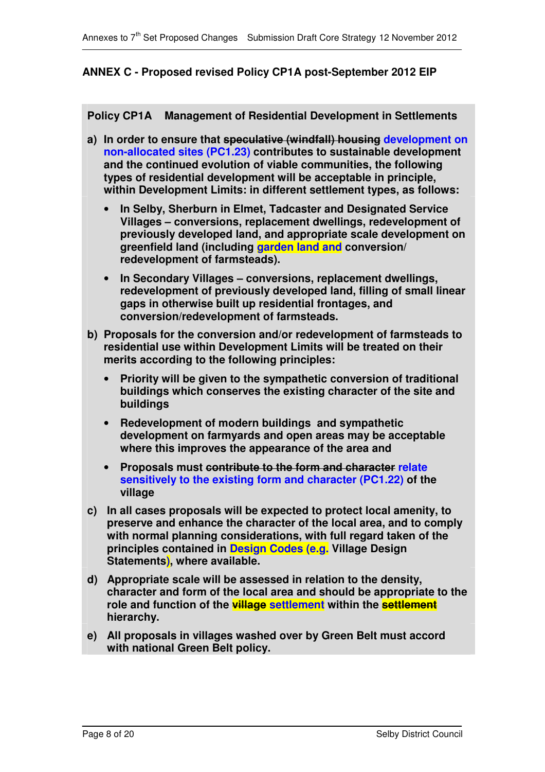# **ANNEX C - Proposed revised Policy CP1A post-September 2012 EIP**

**Policy CP1A Management of Residential Development in Settlements**

- **a) In order to ensure that speculative (windfall) housing development on non-allocated sites (PC1.23) contributes to sustainable development and the continued evolution of viable communities, the following types of residential development will be acceptable in principle, within Development Limits: in different settlement types, as follows:**
	- **In Selby, Sherburn in Elmet, Tadcaster and Designated Service Villages – conversions, replacement dwellings, redevelopment of previously developed land, and appropriate scale development on greenfield land (including garden land and conversion/ redevelopment of farmsteads).**
	- **In Secondary Villages – conversions, replacement dwellings, redevelopment of previously developed land, filling of small linear gaps in otherwise built up residential frontages, and conversion/redevelopment of farmsteads.**
- **b) Proposals for the conversion and/or redevelopment of farmsteads to residential use within Development Limits will be treated on their merits according to the following principles:**
	- **Priority will be given to the sympathetic conversion of traditional buildings which conserves the existing character of the site and buildings**
	- **Redevelopment of modern buildings and sympathetic development on farmyards and open areas may be acceptable where this improves the appearance of the area and**
	- **Proposals must contribute to the form and character relate sensitively to the existing form and character (PC1.22) of the village**
- **c) In all cases proposals will be expected to protect local amenity, to preserve and enhance the character of the local area, and to comply with normal planning considerations, with full regard taken of the principles contained in Design Codes (e.g. Village Design Statements), where available.**
- **d) Appropriate scale will be assessed in relation to the density, character and form of the local area and should be appropriate to the role and function of the village settlement within the settlement hierarchy.**
- **e) All proposals in villages washed over by Green Belt must accord with national Green Belt policy.**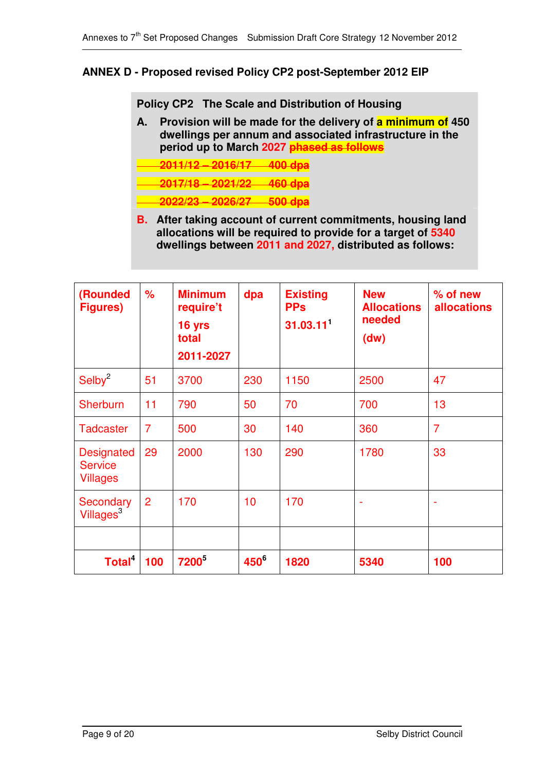# **ANNEX D - Proposed revised Policy CP2 post-September 2012 EIP**

**Policy CP2 The Scale and Distribution of Housing**

- **A. Provision will be made for the delivery of a minimum of 450 dwellings per annum and associated infrastructure in the period up to March 2027 phased as follows**
- **2011/12 – 2016/17 400 dpa**

**2017/18 – 2021/22 460 dpa**

- **2022/23 – 2026/27 500 dpa**
- **B. After taking account of current commitments, housing land allocations will be required to provide for a target of 5340 dwellings between 2011 and 2027, distributed as follows:**

| (Rounded<br><b>Figures</b> )                           | $\frac{9}{6}$  | <b>Minimum</b><br>require't<br>16 yrs<br>total<br>2011-2027 | dpa     | <b>Existing</b><br><b>PPs</b><br>$31.03.11$ <sup>1</sup> | <b>New</b><br><b>Allocations</b><br>needed<br>(dw) | $%$ of new<br><b>allocations</b> |
|--------------------------------------------------------|----------------|-------------------------------------------------------------|---------|----------------------------------------------------------|----------------------------------------------------|----------------------------------|
| Selby <sup>2</sup>                                     | 51             | 3700                                                        | 230     | 1150                                                     | 2500                                               | 47                               |
| Sherburn                                               | 11             | 790                                                         | 50      | 70                                                       | 700                                                | 13                               |
| <b>Tadcaster</b>                                       | $\overline{7}$ | 500                                                         | 30      | 140                                                      | 360                                                | $\overline{7}$                   |
| <b>Designated</b><br><b>Service</b><br><b>Villages</b> | 29             | 2000                                                        | 130     | 290                                                      | 1780                                               | 33                               |
| Secondary<br>Villages <sup>3</sup>                     | $\overline{2}$ | 170                                                         | 10      | 170                                                      | ۰                                                  |                                  |
| Total <sup>4</sup>                                     | 100            | <b>7200</b> <sup>5</sup>                                    | $450^6$ | 1820                                                     | 5340                                               | 100                              |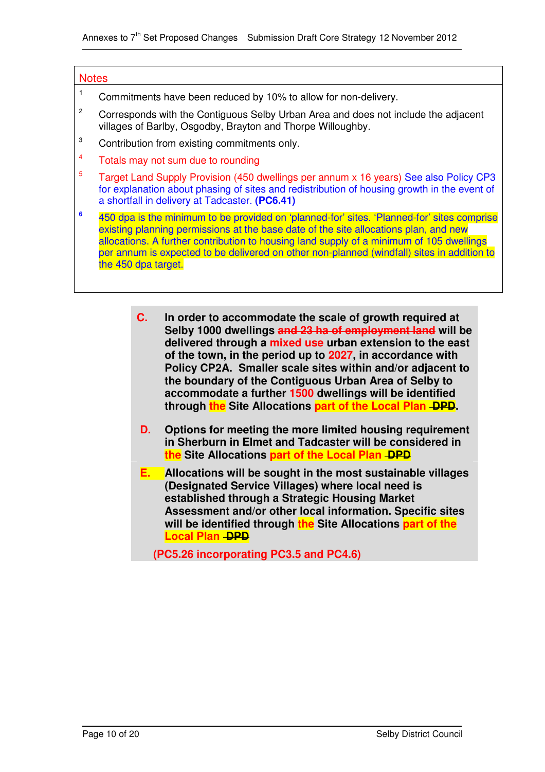#### **Notes**

- <sup>1</sup> Commitments have been reduced by 10% to allow for non-delivery.
- $2^{\circ}$  Corresponds with the Contiguous Selby Urban Area and does not include the adjacent villages of Barlby, Osgodby, Brayton and Thorpe Willoughby.
- <sup>3</sup> Contribution from existing commitments only.
- <sup>4</sup> Totals may not sum due to rounding
- <sup>5</sup> Target Land Supply Provision (450 dwellings per annum x 16 years) See also Policy CP3 for explanation about phasing of sites and redistribution of housing growth in the event of a shortfall in delivery at Tadcaster. **(PC6.41)**
- **6** 450 dpa is the minimum to be provided on 'planned-for' sites. 'Planned-for' sites comprise existing planning permissions at the base date of the site allocations plan, and new allocations. A further contribution to housing land supply of a minimum of 105 dwellings per annum is expected to be delivered on other non-planned (windfall) sites in addition to the 450 dpa target.
	- **C. In order to accommodate the scale of growth required at Selby 1000 dwellings and 23 ha of employment land will be delivered through a mixed use urban extension to the east of the town, in the period up to 2027, in accordance with Policy CP2A. Smaller scale sites within and/or adjacent to the boundary of the Contiguous Urban Area of Selby to accommodate a further 1500 dwellings will be identified through the Site Allocations part of the Local Plan DPD.**
	- **D. Options for meeting the more limited housing requirement in Sherburn in Elmet and Tadcaster will be considered in the Site Allocations part of the Local Plan DPD**
	- **E. Allocations will be sought in the most sustainable villages (Designated Service Villages) where local need is established through a Strategic Housing Market Assessment and/or other local information. Specific sites will be identified through the Site Allocations part of the Local Plan -DPD**

**(PC5.26 incorporating PC3.5 and PC4.6)**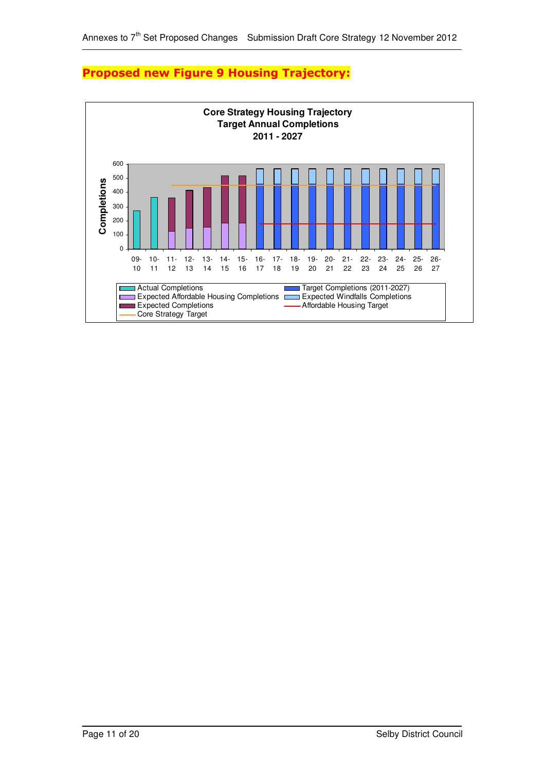

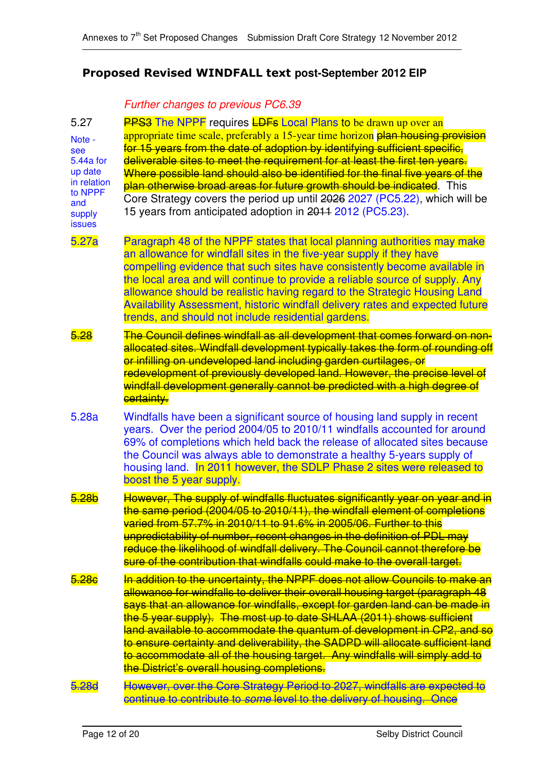# **Proposed Revised WINDFALL text post-September 2012 EIP**

# *Further changes to previous PC6.39*

| 5.27                                                                                              | <b>PPS3</b> The NPPF requires <b>LDFs</b> Local Plans to be drawn up over an                                                                                                                                                                                                                                                                                                                                                                                                                                                                                                                                    |
|---------------------------------------------------------------------------------------------------|-----------------------------------------------------------------------------------------------------------------------------------------------------------------------------------------------------------------------------------------------------------------------------------------------------------------------------------------------------------------------------------------------------------------------------------------------------------------------------------------------------------------------------------------------------------------------------------------------------------------|
| Note -<br>see<br>5.44a for<br>up date<br>in relation<br>to NPPF<br>and<br>supply<br><b>issues</b> | appropriate time scale, preferably a 15-year time horizon plan housing provision<br>for 15 years from the date of adoption by identifying sufficient specific,<br>deliverable sites to meet the requirement for at least the first ten years.<br>Where possible land should also be identified for the final five years of the<br>plan otherwise broad areas for future growth should be indicated. This<br>Core Strategy covers the period up until 2026 2027 (PC5.22), which will be<br>15 years from anticipated adoption in 2011 2012 (PC5.23).                                                             |
| 5.27a                                                                                             | Paragraph 48 of the NPPF states that local planning authorities may make<br>an allowance for windfall sites in the five-year supply if they have<br>compelling evidence that such sites have consistently become available in<br>the local area and will continue to provide a reliable source of supply. Any<br>allowance should be realistic having regard to the Strategic Housing Land<br>Availability Assessment, historic windfall delivery rates and expected future<br>trends, and should not include residential gardens.                                                                              |
| 5.28                                                                                              | The Council defines windfall as all development that comes forward on non-<br>allocated sites. Windfall development typically takes the form of rounding off<br>or infilling on undeveloped land including garden curtilages, or<br>redevelopment of previously developed land. However, the precise level of<br>windfall development generally cannot be predicted with a high degree of<br><b>certainty.</b>                                                                                                                                                                                                  |
| 5.28a                                                                                             | Windfalls have been a significant source of housing land supply in recent<br>years. Over the period 2004/05 to 2010/11 windfalls accounted for around<br>69% of completions which held back the release of allocated sites because<br>the Council was always able to demonstrate a healthy 5-years supply of<br>housing land. In 2011 however, the SDLP Phase 2 sites were released to<br>boost the 5 year supply.                                                                                                                                                                                              |
| 5.28b                                                                                             | However, The supply of windfalls fluctuates significantly year on year and in<br>the same period (2004/05 to 2010/11), the windfall element of completions<br>varied from 57.7% in 2010/11 to 91.6% in 2005/06. Further to this<br>unpredictability of number, recent changes in the definition of PDL may<br>reduce the likelihood of windfall delivery. The Council cannot therefore be<br>sure of the contribution that windfalls could make to the overall target.                                                                                                                                          |
| 5.28 <sub>c</sub>                                                                                 | In addition to the uncertainty, the NPPF does not allow Councils to make an<br>allowance for windfalls to deliver their overall housing target (paragraph 48<br>says that an allowance for windfalls, except for garden land can be made in<br>the 5 year supply). The most up to date SHLAA (2011) shows sufficient<br>land available to accommodate the quantum of development in CP2, and so<br>to ensure certainty and deliverability, the SADPD will allocate sufficient land<br>to accommodate all of the housing target. Any windfalls will simply add to<br>the District's overall housing completions. |
| 5.28d                                                                                             | However, over the Core Strategy Period to 2027, windfalls are expected to<br>continue to contribute to some level to the delivery of housing. Once                                                                                                                                                                                                                                                                                                                                                                                                                                                              |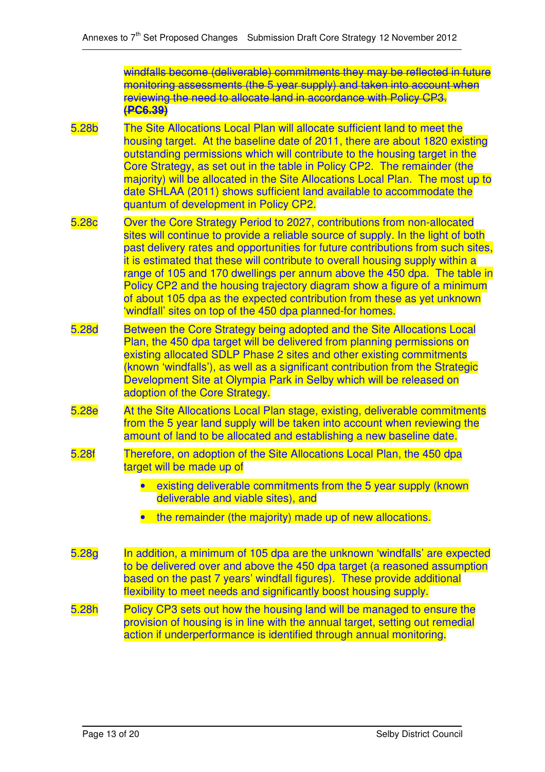windfalls become (deliverable) commitments they may be reflected in future monitoring assessments (the 5 year supply) and taken into account when reviewing the need to allocate land in accordance with Policy CP3. **(PC6.39)**

- 5.28b The Site Allocations Local Plan will allocate sufficient land to meet the housing target. At the baseline date of 2011, there are about 1820 existing outstanding permissions which will contribute to the housing target in the Core Strategy, as set out in the table in Policy CP2. The remainder (the majority) will be allocated in the Site Allocations Local Plan. The most up to date SHLAA (2011) shows sufficient land available to accommodate the quantum of development in Policy CP2.
- 5.28c Over the Core Strategy Period to 2027, contributions from non-allocated sites will continue to provide a reliable source of supply. In the light of both past delivery rates and opportunities for future contributions from such sites, it is estimated that these will contribute to overall housing supply within a range of 105 and 170 dwellings per annum above the 450 dpa. The table in Policy CP2 and the housing trajectory diagram show a figure of a minimum of about 105 dpa as the expected contribution from these as yet unknown 'windfall' sites on top of the 450 dpa planned-for homes.
- 5.28d Between the Core Strategy being adopted and the Site Allocations Local Plan, the 450 dpa target will be delivered from planning permissions on existing allocated SDLP Phase 2 sites and other existing commitments (known 'windfalls'), as well as a significant contribution from the Strategic Development Site at Olympia Park in Selby which will be released on adoption of the Core Strategy.
- 5.28e At the Site Allocations Local Plan stage, existing, deliverable commitments from the 5 year land supply will be taken into account when reviewing the amount of land to be allocated and establishing a new baseline date.
- 5.28f Therefore, on adoption of the Site Allocations Local Plan, the 450 dpa target will be made up of
	- existing deliverable commitments from the 5 year supply (known deliverable and viable sites), and
	- the remainder (the majority) made up of new allocations.
- 5.28g In addition, a minimum of 105 dpa are the unknown 'windfalls' are expected to be delivered over and above the 450 dpa target (a reasoned assumption based on the past 7 years' windfall figures). These provide additional flexibility to meet needs and significantly boost housing supply.
- 5.28h Policy CP3 sets out how the housing land will be managed to ensure the provision of housing is in line with the annual target, setting out remedial action if underperformance is identified through annual monitoring.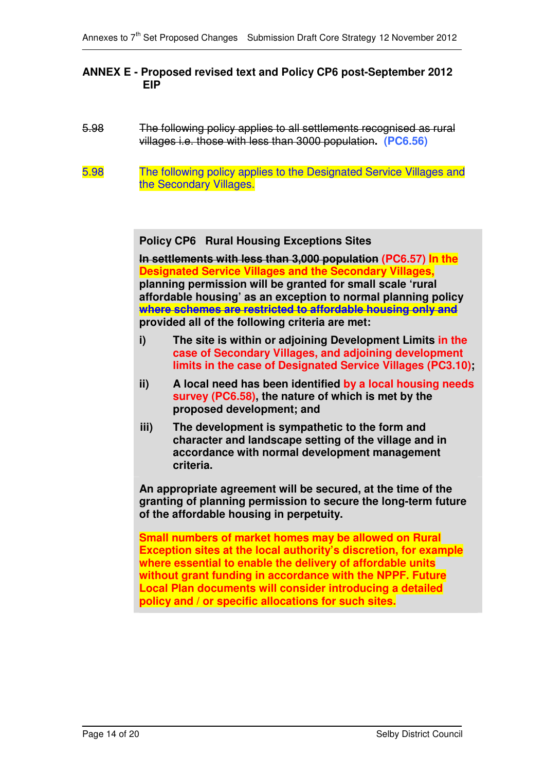## **ANNEX E - Proposed revised text and Policy CP6 post-September 2012 EIP**

- 5.98 The following policy applies to all settlements recognised as rural villages i.e. those with less than 3000 population**. (PC6.56)**
- 5.98 The following policy applies to the Designated Service Villages and the Secondary Villages.

**Policy CP6 Rural Housing Exceptions Sites**

**In settlements with less than 3,000 population (PC6.57) In the Designated Service Villages and the Secondary Villages, planning permission will be granted for small scale 'rural affordable housing' as an exception to normal planning policy where schemes are restricted to affordable housing only and provided all of the following criteria are met:**

- **i) The site is within or adjoining Development Limits in the case of Secondary Villages, and adjoining development limits in the case of Designated Service Villages (PC3.10);**
- **ii) A local need has been identified by a local housing needs survey (PC6.58), the nature of which is met by the proposed development; and**
- **iii) The development is sympathetic to the form and character and landscape setting of the village and in accordance with normal development management criteria.**

**An appropriate agreement will be secured, at the time of the granting of planning permission to secure the long-term future of the affordable housing in perpetuity.**

**Small numbers of market homes may be allowed on Rural Exception sites at the local authority's discretion, for example where essential to enable the delivery of affordable units without grant funding in accordance with the NPPF. Future Local Plan documents will consider introducing a detailed policy and / or specific allocations for such sites.**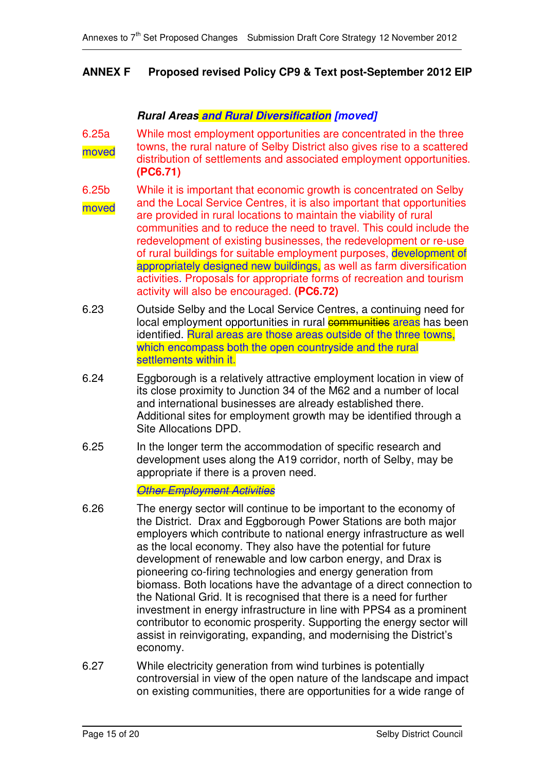# **ANNEX F Proposed revised Policy CP9 & Text post-September 2012 EIP**

## *Rural Areas and Rural Diversification [moved]*

- 6.25a moved While most employment opportunities are concentrated in the three towns, the rural nature of Selby District also gives rise to a scattered distribution of settlements and associated employment opportunities. **(PC6.71)**
- 6.25b moved While it is important that economic growth is concentrated on Selby and the Local Service Centres, it is also important that opportunities are provided in rural locations to maintain the viability of rural communities and to reduce the need to travel. This could include the redevelopment of existing businesses, the redevelopment or re-use of rural buildings for suitable employment purposes, development of appropriately designed new buildings, as well as farm diversification activities. Proposals for appropriate forms of recreation and tourism activity will also be encouraged. **(PC6.72)**
- 6.23 Outside Selby and the Local Service Centres, a continuing need for local employment opportunities in rural communities areas has been identified. Rural areas are those areas outside of the three towns, which encompass both the open countryside and the rural settlements within it.
- 6.24 Eggborough is a relatively attractive employment location in view of its close proximity to Junction 34 of the M62 and a number of local and international businesses are already established there. Additional sites for employment growth may be identified through a Site Allocations DPD.
- 6.25 In the longer term the accommodation of specific research and development uses along the A19 corridor, north of Selby, may be appropriate if there is a proven need.

*Other Employment Activities*

- 6.26 The energy sector will continue to be important to the economy of the District. Drax and Eggborough Power Stations are both major employers which contribute to national energy infrastructure as well as the local economy. They also have the potential for future development of renewable and low carbon energy, and Drax is pioneering co-firing technologies and energy generation from biomass. Both locations have the advantage of a direct connection to the National Grid. It is recognised that there is a need for further investment in energy infrastructure in line with PPS4 as a prominent contributor to economic prosperity. Supporting the energy sector will assist in reinvigorating, expanding, and modernising the District's economy.
- 6.27 While electricity generation from wind turbines is potentially controversial in view of the open nature of the landscape and impact on existing communities, there are opportunities for a wide range of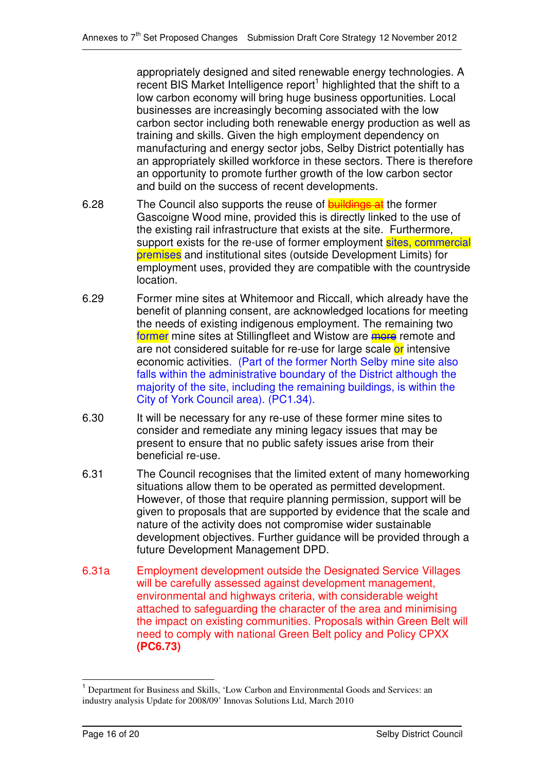appropriately designed and sited renewable energy technologies. A recent BIS Market Intelligence report<sup>1</sup> highlighted that the shift to a low carbon economy will bring huge business opportunities. Local businesses are increasingly becoming associated with the low carbon sector including both renewable energy production as well as training and skills. Given the high employment dependency on manufacturing and energy sector jobs, Selby District potentially has an appropriately skilled workforce in these sectors. There is therefore an opportunity to promote further growth of the low carbon sector and build on the success of recent developments.

- 6.28 The Council also supports the reuse of **buildings at** the former Gascoigne Wood mine, provided this is directly linked to the use of the existing rail infrastructure that exists at the site. Furthermore, support exists for the re-use of former employment sites, commercial premises and institutional sites (outside Development Limits) for employment uses, provided they are compatible with the countryside location.
- 6.29 Former mine sites at Whitemoor and Riccall, which already have the benefit of planning consent, are acknowledged locations for meeting the needs of existing indigenous employment. The remaining two former mine sites at Stillingfleet and Wistow are more remote and are not considered suitable for re-use for large scale or intensive economic activities. (Part of the former North Selby mine site also falls within the administrative boundary of the District although the majority of the site, including the remaining buildings, is within the City of York Council area). (PC1.34).
- 6.30 It will be necessary for any re-use of these former mine sites to consider and remediate any mining legacy issues that may be present to ensure that no public safety issues arise from their beneficial re-use.
- 6.31 The Council recognises that the limited extent of many homeworking situations allow them to be operated as permitted development. However, of those that require planning permission, support will be given to proposals that are supported by evidence that the scale and nature of the activity does not compromise wider sustainable development objectives. Further guidance will be provided through a future Development Management DPD.
- 6.31a Employment development outside the Designated Service Villages will be carefully assessed against development management, environmental and highways criteria, with considerable weight attached to safeguarding the character of the area and minimising the impact on existing communities. Proposals within Green Belt will need to comply with national Green Belt policy and Policy CPXX **(PC6.73)**

<sup>1</sup> Department for Business and Skills, 'Low Carbon and Environmental Goods and Services: an industry analysis Update for 2008/09' Innovas Solutions Ltd, March 2010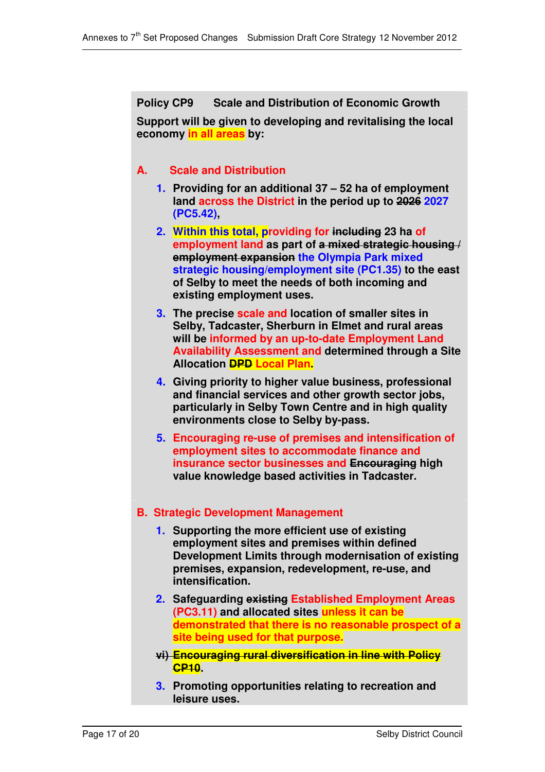**Policy CP9 Scale and Distribution of Economic Growth Support will be given to developing and revitalising the local economy in all areas by:**

# **A. Scale and Distribution**

- **1. Providing for an additional 37 – 52 ha of employment land across the District in the period up to 2026 2027 (PC5.42),**
- **2. Within this total, providing for including 23 ha of employment land as part of a mixed strategic housing / employment expansion the Olympia Park mixed strategic housing/employment site (PC1.35) to the east of Selby to meet the needs of both incoming and existing employment uses.**
- **3. The precise scale and location of smaller sites in Selby, Tadcaster, Sherburn in Elmet and rural areas will be informed by an up-to-date Employment Land Availability Assessment and determined through a Site Allocation DPD Local Plan.**
- **4. Giving priority to higher value business, professional and financial services and other growth sector jobs, particularly in Selby Town Centre and in high quality environments close to Selby by-pass.**
- **5. Encouraging re-use of premises and intensification of employment sites to accommodate finance and insurance sector businesses and Encouraging high value knowledge based activities in Tadcaster.**

# **B. Strategic Development Management**

- **1. Supporting the more efficient use of existing employment sites and premises within defined Development Limits through modernisation of existing premises, expansion, redevelopment, re-use, and intensification.**
- **2. Safeguarding existing Established Employment Areas (PC3.11) and allocated sites unless it can be demonstrated that there is no reasonable prospect of a site being used for that purpose.**
- **vi) Encouraging rural diversification in line with Policy CP10.**
- **3. Promoting opportunities relating to recreation and leisure uses.**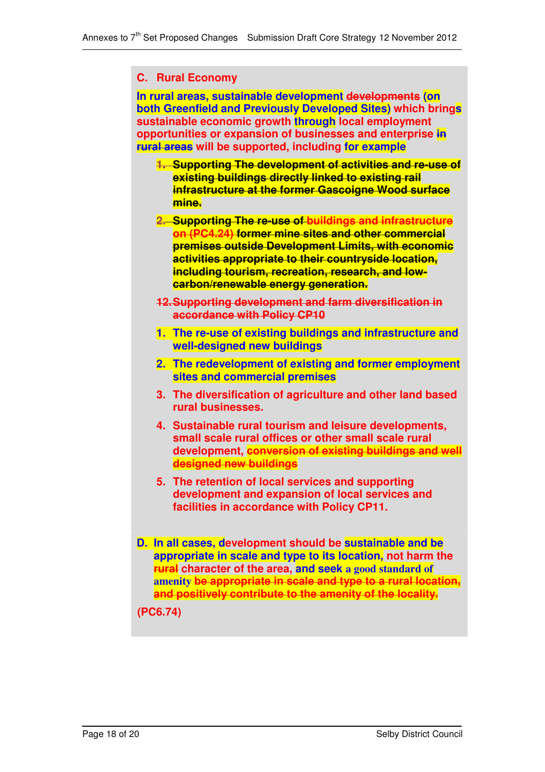#### **C. Rural Economy**

**In rural areas, sustainable development developments (on both Greenfield and Previously Developed Sites) which brings sustainable economic growth through local employment opportunities or expansion of businesses and enterprise in rural areas will be supported, including for example**

- **1. Supporting The development of activities and re-use of existing buildings directly linked to existing rail infrastructure at the former Gascoigne Wood surface mine.**
- **2. Supporting The re-use of buildings and infrastructure on (PC4.24) former mine sites and other commercial premises outside Development Limits, with economic activities appropriate to their countryside location, including tourism, recreation, research, and lowcarbon/renewable energy generation.**
- **12.Supporting development and farm diversification in accordance with Policy CP10**
- **1. The re-use of existing buildings and infrastructure and well-designed new buildings**
- **2. The redevelopment of existing and former employment sites and commercial premises**
- **3. The diversification of agriculture and other land based rural businesses.**
- **4. Sustainable rural tourism and leisure developments, small scale rural offices or other small scale rural development, conversion of existing buildings and well designed new buildings**
- **5. The retention of local services and supporting development and expansion of local services and facilities in accordance with Policy CP11.**
- **D. In all cases, development should be sustainable and be appropriate in scale and type to its location, not harm the rural character of the area, and seek a good standard of amenity be appropriate in scale and type to a rural location, and positively contribute to the amenity of the locality.**

**(PC6.74)**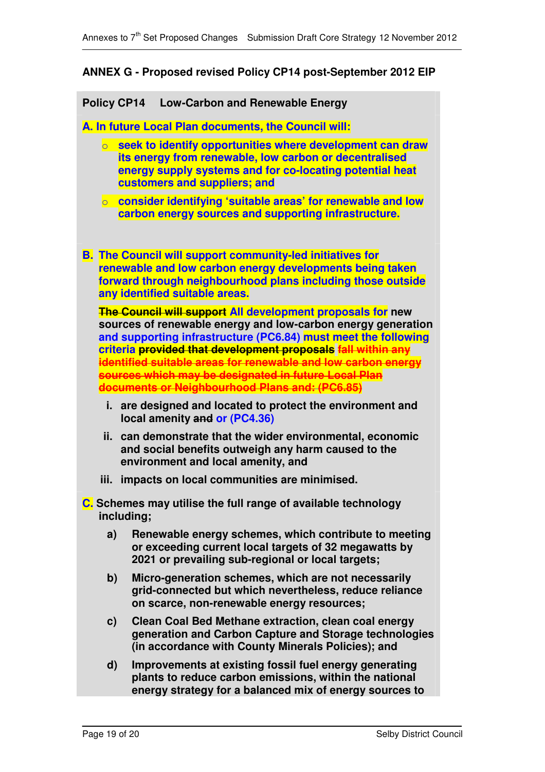## **ANNEX G - Proposed revised Policy CP14 post-September 2012 EIP**

#### **Policy CP14 Low-Carbon and Renewable Energy**

**A. In future Local Plan documents, the Council will:**

- o **seek to identify opportunities where development can draw its energy from renewable, low carbon or decentralised energy supply systems and for co-locating potential heat customers and suppliers; and**
- o **consider identifying 'suitable areas' for renewable and low carbon energy sources and supporting infrastructure.**
- **B. The Council will support community-led initiatives for renewable and low carbon energy developments being taken forward through neighbourhood plans including those outside any identified suitable areas.**

**The Council will support All development proposals for new sources of renewable energy and low-carbon energy generation and supporting infrastructure (PC6.84) must meet the following criteria provided that development proposals fall within any identified suitable areas for renewable and low carbon energy sources which may be designated in future Local Plan documents or Neighbourhood Plans and: (PC6.85)**

- **i. are designed and located to protect the environment and local amenity and or (PC4.36)**
- **ii. can demonstrate that the wider environmental, economic and social benefits outweigh any harm caused to the environment and local amenity, and**
- **iii. impacts on local communities are minimised.**
- **C. Schemes may utilise the full range of available technology including;**
	- **a) Renewable energy schemes, which contribute to meeting or exceeding current local targets of 32 megawatts by 2021 or prevailing sub-regional or local targets;**
	- **b) Micro-generation schemes, which are not necessarily grid-connected but which nevertheless, reduce reliance on scarce, non-renewable energy resources;**
	- **c) Clean Coal Bed Methane extraction, clean coal energy generation and Carbon Capture and Storage technologies (in accordance with County Minerals Policies); and**
	- **d) Improvements at existing fossil fuel energy generating plants to reduce carbon emissions, within the national energy strategy for a balanced mix of energy sources to**